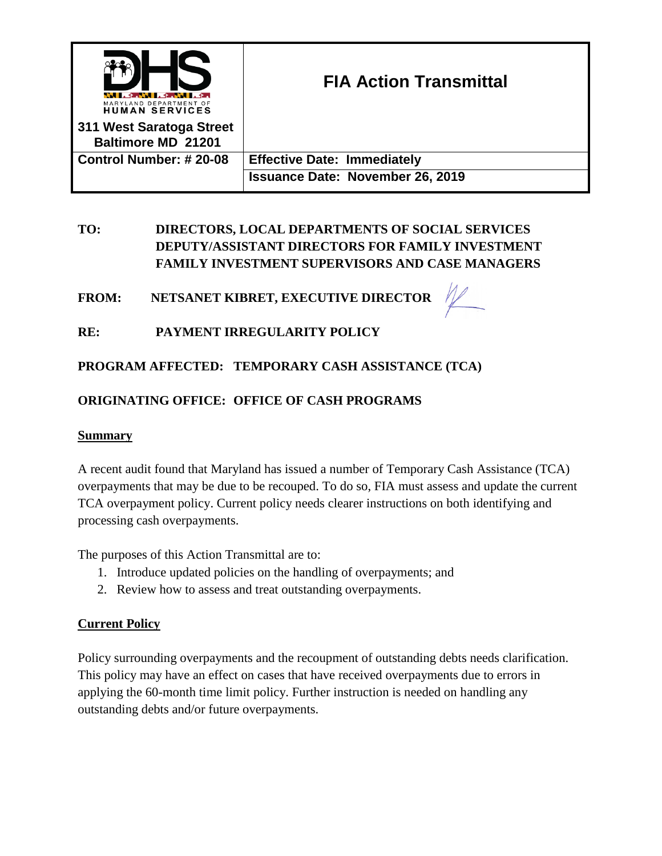

# **TO: DIRECTORS, LOCAL DEPARTMENTS OF SOCIAL SERVICES DEPUTY/ASSISTANT DIRECTORS FOR FAMILY INVESTMENT FAMILY INVESTMENT SUPERVISORS AND CASE MANAGERS**

FROM: NETSANET KIBRET, EXECUTIVE DIRECTOR

# **RE: PAYMENT IRREGULARITY POLICY**

**PROGRAM AFFECTED: TEMPORARY CASH ASSISTANCE (TCA)**

# **ORIGINATING OFFICE: OFFICE OF CASH PROGRAMS**

# **Summary**

A recent audit found that Maryland has issued a number of Temporary Cash Assistance (TCA) overpayments that may be due to be recouped. To do so, FIA must assess and update the current TCA overpayment policy. Current policy needs clearer instructions on both identifying and processing cash overpayments.

The purposes of this Action Transmittal are to:

- 1. Introduce updated policies on the handling of overpayments; and
- 2. Review how to assess and treat outstanding overpayments.

# **Current Policy**

Policy surrounding overpayments and the recoupment of outstanding debts needs clarification. This policy may have an effect on cases that have received overpayments due to errors in applying the 60-month time limit policy. Further instruction is needed on handling any outstanding debts and/or future overpayments.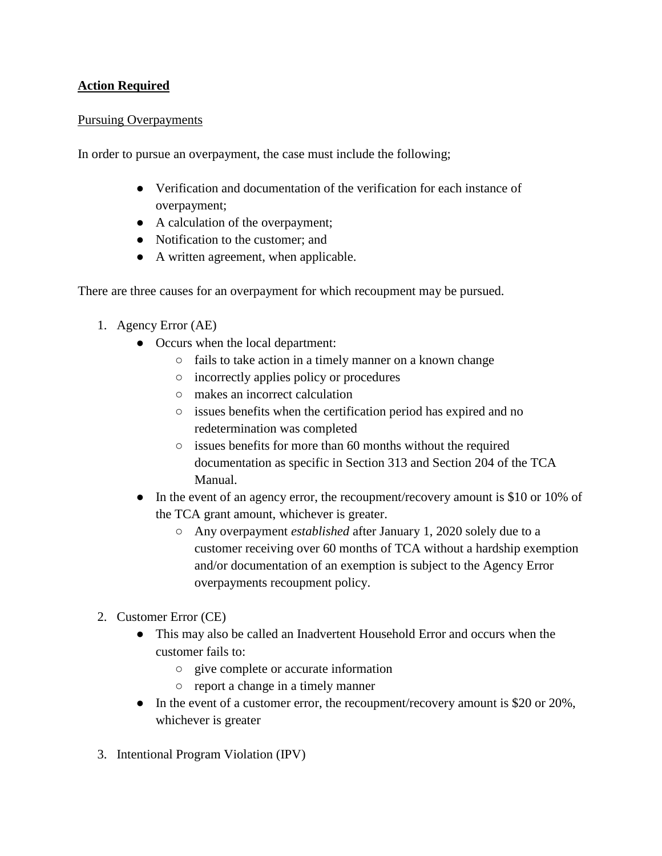# **Action Required**

#### Pursuing Overpayments

In order to pursue an overpayment, the case must include the following;

- Verification and documentation of the verification for each instance of overpayment;
- A calculation of the overpayment;
- Notification to the customer; and
- A written agreement, when applicable.

There are three causes for an overpayment for which recoupment may be pursued.

- 1. Agency Error (AE)
	- Occurs when the local department:
		- fails to take action in a timely manner on a known change
		- incorrectly applies policy or procedures
		- makes an incorrect calculation
		- issues benefits when the certification period has expired and no redetermination was completed
		- issues benefits for more than 60 months without the required documentation as specific in Section 313 and Section 204 of the TCA Manual.
	- In the event of an agency error, the recoupment/recovery amount is \$10 or 10% of the TCA grant amount, whichever is greater.
		- Any overpayment *established* after January 1, 2020 solely due to a customer receiving over 60 months of TCA without a hardship exemption and/or documentation of an exemption is subject to the Agency Error overpayments recoupment policy.
- 2. Customer Error (CE)
	- This may also be called an Inadvertent Household Error and occurs when the customer fails to:
		- give complete or accurate information
		- report a change in a timely manner
	- In the event of a customer error, the recoupment/recovery amount is \$20 or 20%, whichever is greater
- 3. Intentional Program Violation (IPV)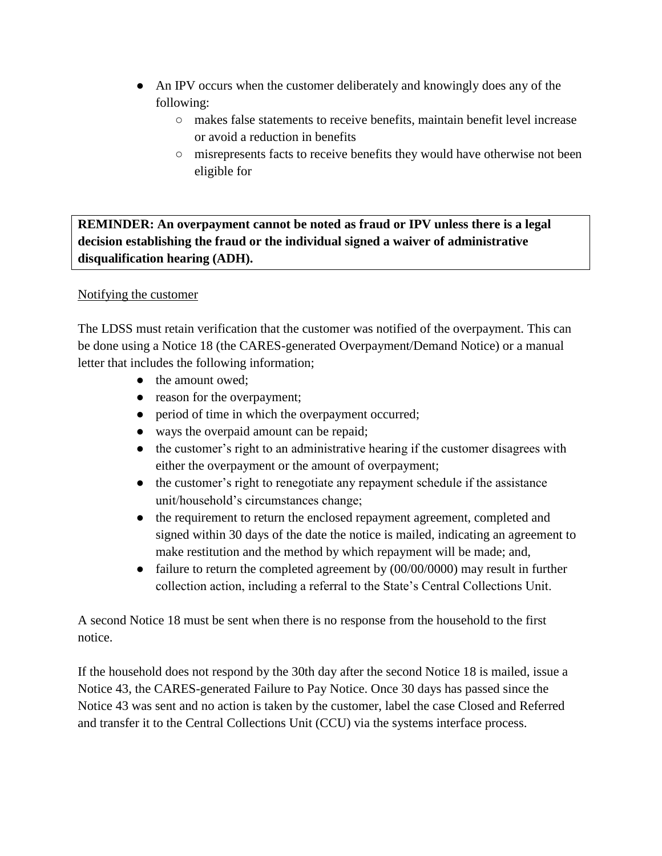- An IPV occurs when the customer deliberately and knowingly does any of the following:
	- makes false statements to receive benefits, maintain benefit level increase or avoid a reduction in benefits
	- misrepresents facts to receive benefits they would have otherwise not been eligible for

# **REMINDER: An overpayment cannot be noted as fraud or IPV unless there is a legal decision establishing the fraud or the individual signed a waiver of administrative disqualification hearing (ADH).**

# Notifying the customer

The LDSS must retain verification that the customer was notified of the overpayment. This can be done using a Notice 18 (the CARES-generated Overpayment/Demand Notice) or a manual letter that includes the following information;

- the amount owed;
- reason for the overpayment;
- period of time in which the overpayment occurred;
- ways the overpaid amount can be repaid;
- the customer's right to an administrative hearing if the customer disagrees with either the overpayment or the amount of overpayment;
- the customer's right to renegotiate any repayment schedule if the assistance unit/household's circumstances change;
- the requirement to return the enclosed repayment agreement, completed and signed within 30 days of the date the notice is mailed, indicating an agreement to make restitution and the method by which repayment will be made; and,
- failure to return the completed agreement by (00/00/0000) may result in further collection action, including a referral to the State's Central Collections Unit.

A second Notice 18 must be sent when there is no response from the household to the first notice.

If the household does not respond by the 30th day after the second Notice 18 is mailed, issue a Notice 43, the CARES-generated Failure to Pay Notice. Once 30 days has passed since the Notice 43 was sent and no action is taken by the customer, label the case Closed and Referred and transfer it to the Central Collections Unit (CCU) via the systems interface process.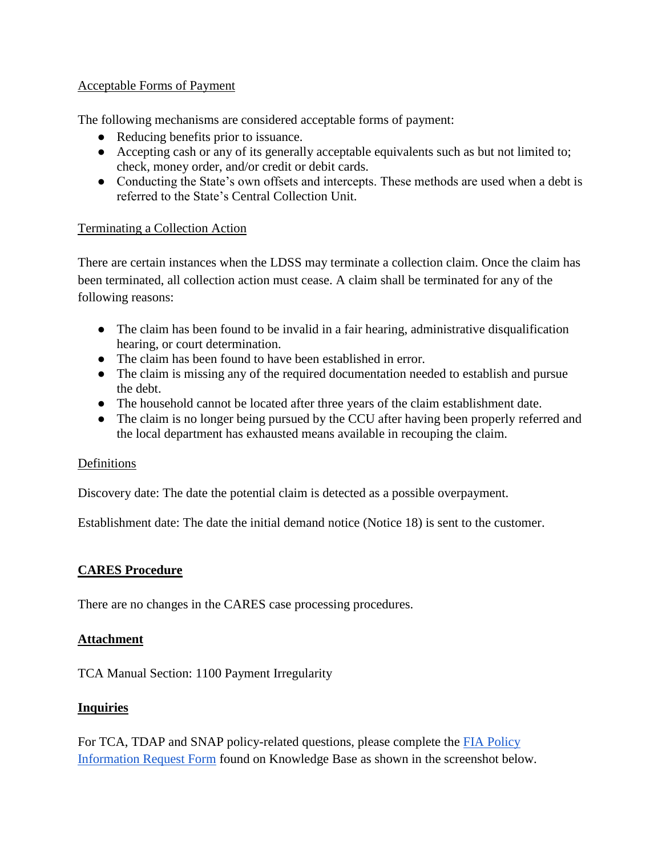# Acceptable Forms of Payment

The following mechanisms are considered acceptable forms of payment:

- Reducing benefits prior to issuance.
- Accepting cash or any of its generally acceptable equivalents such as but not limited to; check, money order, and/or credit or debit cards.
- Conducting the State's own offsets and intercepts. These methods are used when a debt is referred to the State's Central Collection Unit.

# Terminating a Collection Action

There are certain instances when the LDSS may terminate a collection claim. Once the claim has been terminated, all collection action must cease. A claim shall be terminated for any of the following reasons:

- The claim has been found to be invalid in a fair hearing, administrative disqualification hearing, or court determination.
- The claim has been found to have been established in error.
- The claim is missing any of the required documentation needed to establish and pursue the debt.
- The household cannot be located after three years of the claim establishment date.
- The claim is no longer being pursued by the CCU after having been properly referred and the local department has exhausted means available in recouping the claim.

# Definitions

Discovery date: The date the potential claim is detected as a possible overpayment.

Establishment date: The date the initial demand notice (Notice 18) is sent to the customer.

# **CARES Procedure**

There are no changes in the CARES case processing procedures.

# **Attachment**

TCA Manual Section: 1100 Payment Irregularity

# **Inquiries**

For TCA, TDAP and SNAP policy-related questions, please complete the [FIA Policy](http://kb.dhs.maryland.gov/family-investment-administration/contact-us-with-your-fia-program-eligibility-policy-question/)  [Information Request Form](http://kb.dhs.maryland.gov/family-investment-administration/contact-us-with-your-fia-program-eligibility-policy-question/) found on Knowledge Base as shown in the screenshot below.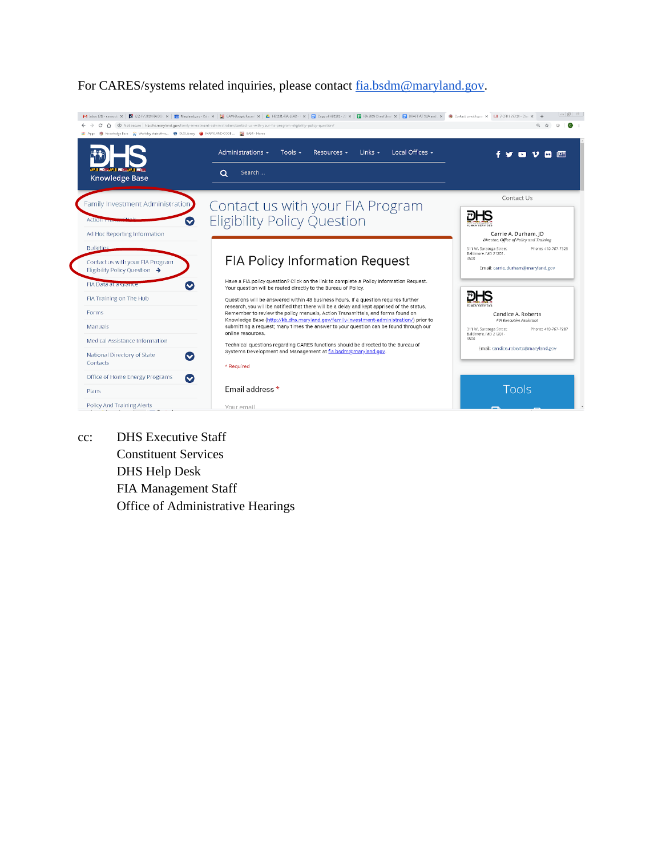

For CARES/systems related inquiries, please contact [fia.bsdm@maryland.gov.](mailto:fia.bsdm@maryland.gov)

cc: DHS Executive Staff Constituent Services DHS Help Desk FIA Management Staff Office of Administrative Hearings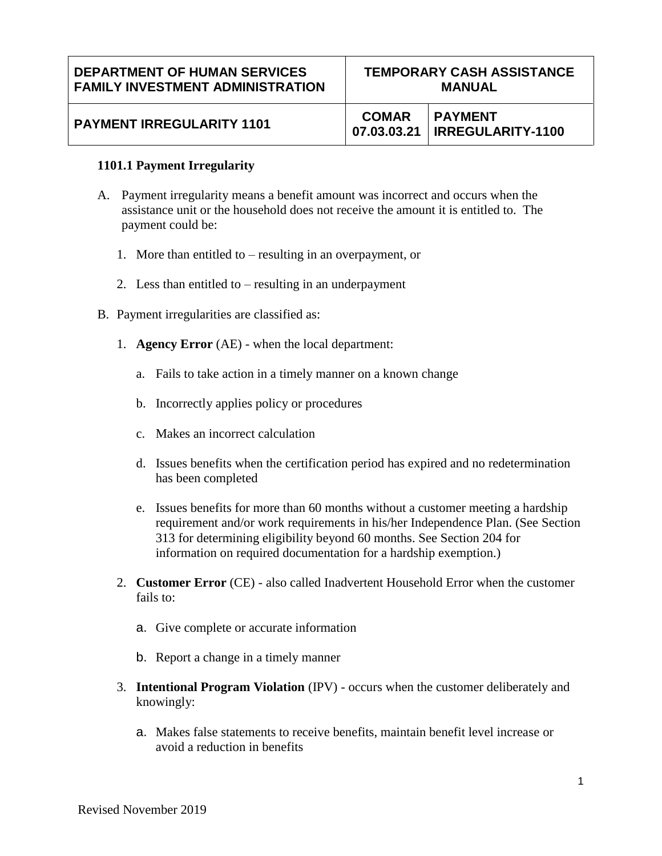#### **1101.1 Payment Irregularity**

- A. Payment irregularity means a benefit amount was incorrect and occurs when the assistance unit or the household does not receive the amount it is entitled to. The payment could be:
	- 1. More than entitled to resulting in an overpayment, or
	- 2. Less than entitled to resulting in an underpayment
- B. Payment irregularities are classified as:
	- 1. **Agency Error** (AE) when the local department:
		- a. Fails to take action in a timely manner on a known change
		- b. Incorrectly applies policy or procedures
		- c. Makes an incorrect calculation
		- d. Issues benefits when the certification period has expired and no redetermination has been completed
		- e. Issues benefits for more than 60 months without a customer meeting a hardship requirement and/or work requirements in his/her Independence Plan. (See Section 313 for determining eligibility beyond 60 months. See Section 204 for information on required documentation for a hardship exemption.)
	- 2. **Customer Error** (CE) also called Inadvertent Household Error when the customer fails to:
		- a. Give complete or accurate information
		- b. Report a change in a timely manner
	- 3. **Intentional Program Violation** (IPV) occurs when the customer deliberately and knowingly:
		- a. Makes false statements to receive benefits, maintain benefit level increase or avoid a reduction in benefits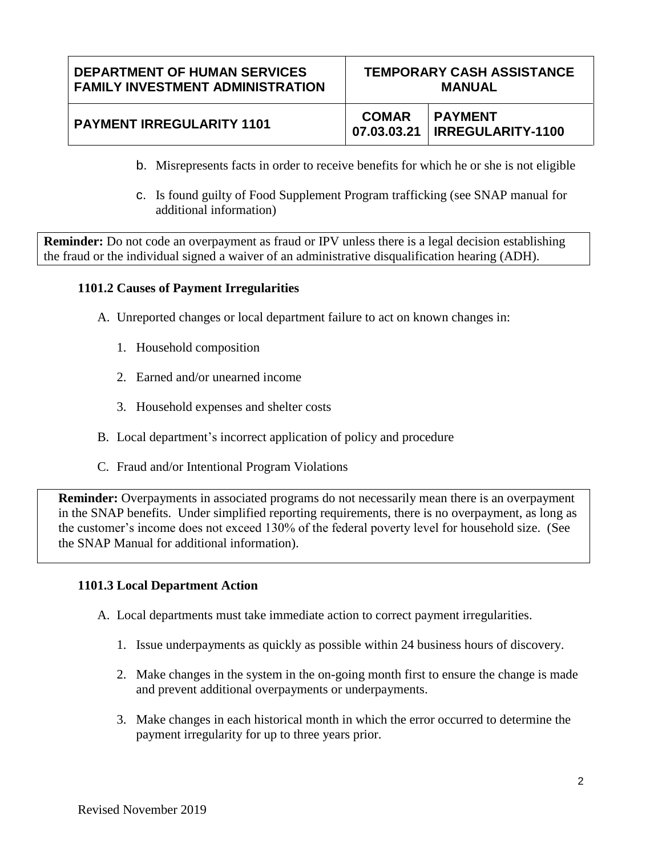#### **DEPARTMENT OF HUMAN SERVICES FAMILY INVESTMENT ADMINISTRATION TEMPORARY CASH ASSISTANCE MANUAL PAYMENT IRREGULARITY 1101** COMAR **07.03.03.21 PAYMENT IRREGULARITY-1100**

- b. Misrepresents facts in order to receive benefits for which he or she is not eligible
- c. Is found guilty of Food Supplement Program trafficking (see SNAP manual for additional information)

**Reminder:** Do not code an overpayment as fraud or IPV unless there is a legal decision establishing the fraud or the individual signed a waiver of an administrative disqualification hearing (ADH).

# **1101.2 Causes of Payment Irregularities**

- A. Unreported changes or local department failure to act on known changes in:
	- 1. Household composition
	- 2. Earned and/or unearned income
	- 3. Household expenses and shelter costs
- B. Local department's incorrect application of policy and procedure
- C. Fraud and/or Intentional Program Violations

**Reminder:** Overpayments in associated programs do not necessarily mean there is an overpayment in the SNAP benefits. Under simplified reporting requirements, there is no overpayment, as long as the customer's income does not exceed 130% of the federal poverty level for household size. (See the SNAP Manual for additional information).

#### **1101.3 Local Department Action**

- A. Local departments must take immediate action to correct payment irregularities.
	- 1. Issue underpayments as quickly as possible within 24 business hours of discovery.
	- 2. Make changes in the system in the on-going month first to ensure the change is made and prevent additional overpayments or underpayments.
	- 3. Make changes in each historical month in which the error occurred to determine the payment irregularity for up to three years prior.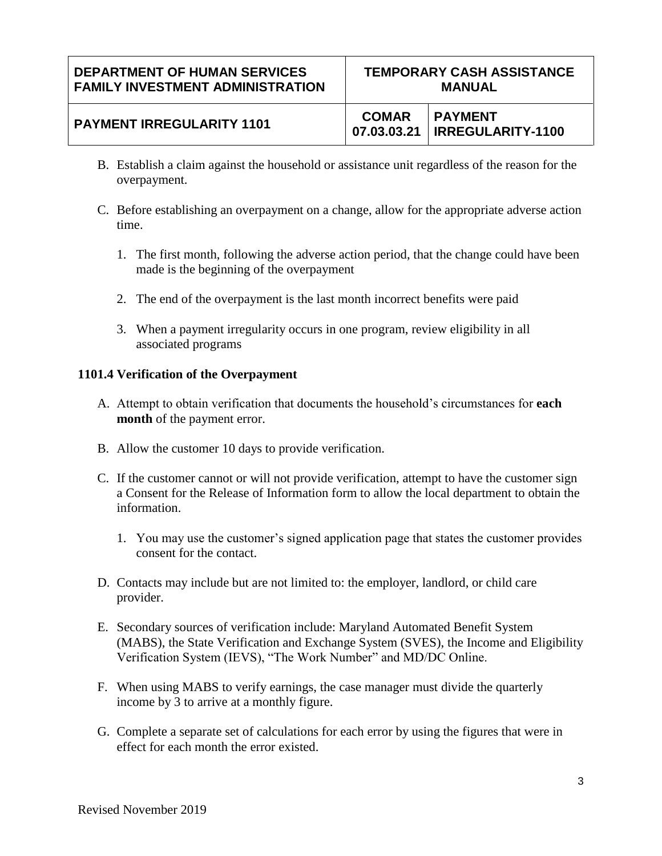# **PAYMENT IRREGULARITY 1101** COMAR

- B. Establish a claim against the household or assistance unit regardless of the reason for the overpayment.
- C. Before establishing an overpayment on a change, allow for the appropriate adverse action time.
	- 1. The first month, following the adverse action period, that the change could have been made is the beginning of the overpayment
	- 2. The end of the overpayment is the last month incorrect benefits were paid
	- 3. When a payment irregularity occurs in one program, review eligibility in all associated programs

# **1101.4 Verification of the Overpayment**

- A. Attempt to obtain verification that documents the household's circumstances for **each month** of the payment error.
- B. Allow the customer 10 days to provide verification.
- C. If the customer cannot or will not provide verification, attempt to have the customer sign a Consent for the Release of Information form to allow the local department to obtain the information.
	- 1. You may use the customer's signed application page that states the customer provides consent for the contact.
- D. Contacts may include but are not limited to: the employer, landlord, or child care provider.
- E. Secondary sources of verification include: Maryland Automated Benefit System (MABS), the State Verification and Exchange System (SVES), the Income and Eligibility Verification System (IEVS), "The Work Number" and MD/DC Online.
- F. When using MABS to verify earnings, the case manager must divide the quarterly income by 3 to arrive at a monthly figure.
- G. Complete a separate set of calculations for each error by using the figures that were in effect for each month the error existed.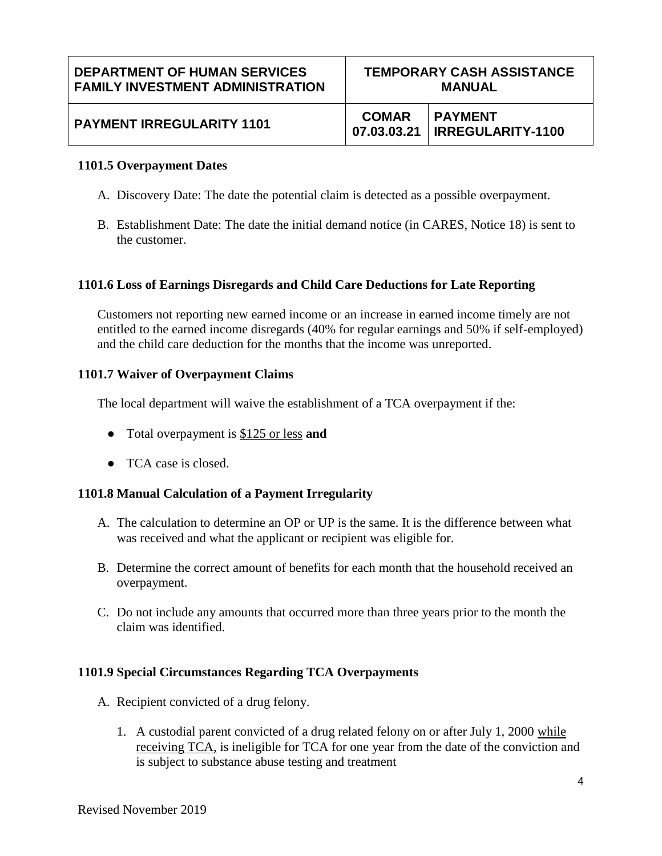| <b>DEPARTMENT OF HUMAN SERVICES</b>     | <b>TEMPORARY CASH ASSISTANCE</b> |                                                   |
|-----------------------------------------|----------------------------------|---------------------------------------------------|
| <b>FAMILY INVESTMENT ADMINISTRATION</b> | <b>MANUAL</b>                    |                                                   |
| <b>PAYMENT IRREGULARITY 1101</b>        | <b>COMAR</b>                     | <b>PAYMENT</b><br>07.03.03.21   IRREGULARITY-1100 |

#### **1101.5 Overpayment Dates**

- A. Discovery Date: The date the potential claim is detected as a possible overpayment.
- B. Establishment Date: The date the initial demand notice (in CARES, Notice 18) is sent to the customer.

#### **1101.6 Loss of Earnings Disregards and Child Care Deductions for Late Reporting**

Customers not reporting new earned income or an increase in earned income timely are not entitled to the earned income disregards (40% for regular earnings and 50% if self-employed) and the child care deduction for the months that the income was unreported.

#### **1101.7 Waiver of Overpayment Claims**

The local department will waive the establishment of a TCA overpayment if the:

- Total overpayment is \$125 or less **and**
- TCA case is closed.

#### **1101.8 Manual Calculation of a Payment Irregularity**

- A. The calculation to determine an OP or UP is the same. It is the difference between what was received and what the applicant or recipient was eligible for.
- B. Determine the correct amount of benefits for each month that the household received an overpayment.
- C. Do not include any amounts that occurred more than three years prior to the month the claim was identified.

#### **1101.9 Special Circumstances Regarding TCA Overpayments**

- A. Recipient convicted of a drug felony.
	- 1. A custodial parent convicted of a drug related felony on or after July 1, 2000 while receiving TCA, is ineligible for TCA for one year from the date of the conviction and is subject to substance abuse testing and treatment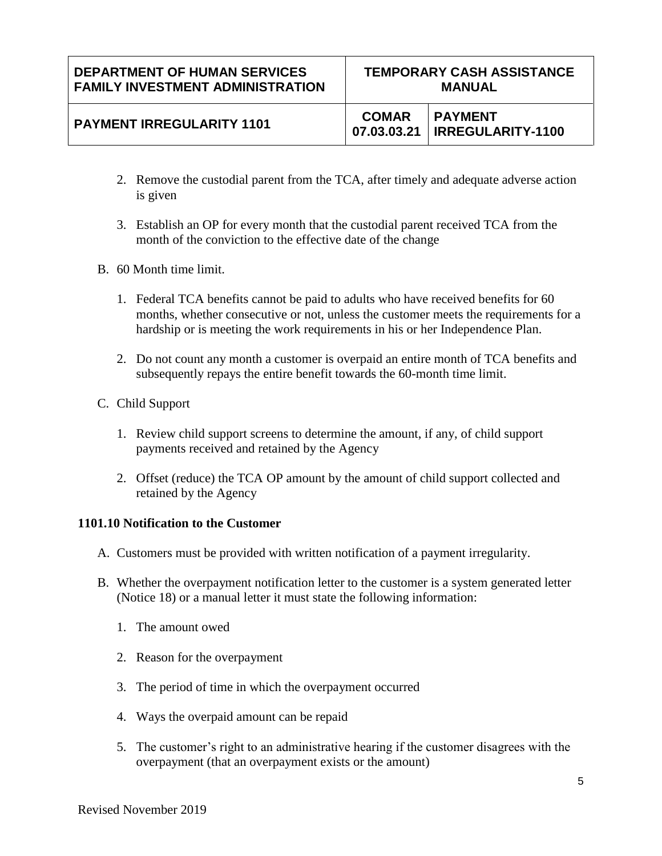- 2. Remove the custodial parent from the TCA, after timely and adequate adverse action is given
- 3. Establish an OP for every month that the custodial parent received TCA from the month of the conviction to the effective date of the change
- B. 60 Month time limit.
	- 1. Federal TCA benefits cannot be paid to adults who have received benefits for 60 months, whether consecutive or not, unless the customer meets the requirements for a hardship or is meeting the work requirements in his or her Independence Plan.
	- 2. Do not count any month a customer is overpaid an entire month of TCA benefits and subsequently repays the entire benefit towards the 60-month time limit.
- C. Child Support
	- 1. Review child support screens to determine the amount, if any, of child support payments received and retained by the Agency
	- 2. Offset (reduce) the TCA OP amount by the amount of child support collected and retained by the Agency

# **1101.10 Notification to the Customer**

- A. Customers must be provided with written notification of a payment irregularity.
- B. Whether the overpayment notification letter to the customer is a system generated letter (Notice 18) or a manual letter it must state the following information:
	- 1. The amount owed
	- 2. Reason for the overpayment
	- 3. The period of time in which the overpayment occurred
	- 4. Ways the overpaid amount can be repaid
	- 5. The customer's right to an administrative hearing if the customer disagrees with the overpayment (that an overpayment exists or the amount)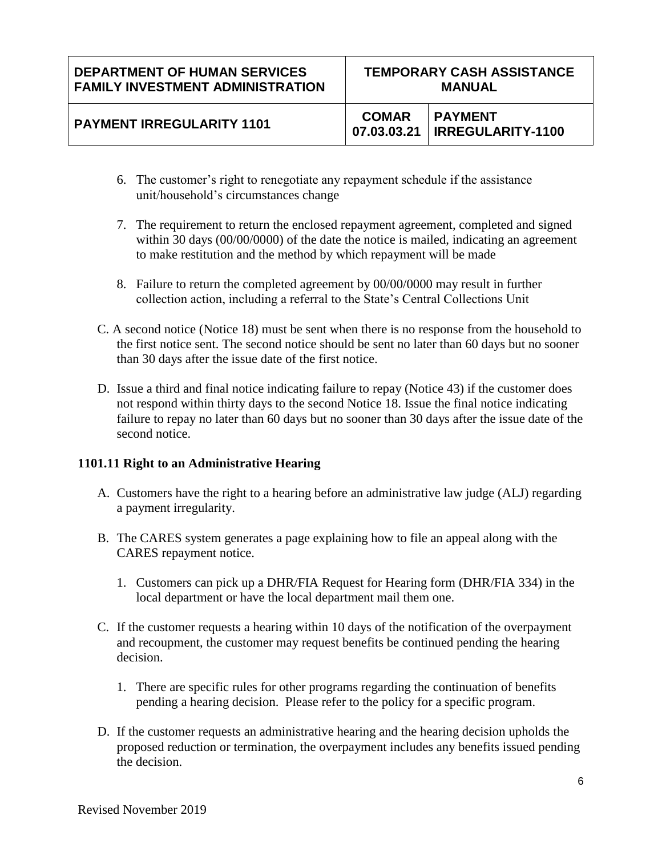| <b>PAYMENT IRREGULARITY 1101</b> |  | <b>COMAR PAYMENT</b><br>07.03.03.21   IRREGULARITY-1100 |
|----------------------------------|--|---------------------------------------------------------|
|----------------------------------|--|---------------------------------------------------------|

- 6. The customer's right to renegotiate any repayment schedule if the assistance unit/household's circumstances change
- 7. The requirement to return the enclosed repayment agreement, completed and signed within 30 days (00/00/0000) of the date the notice is mailed, indicating an agreement to make restitution and the method by which repayment will be made
- 8. Failure to return the completed agreement by 00/00/0000 may result in further collection action, including a referral to the State's Central Collections Unit
- C. A second notice (Notice 18) must be sent when there is no response from the household to the first notice sent. The second notice should be sent no later than 60 days but no sooner than 30 days after the issue date of the first notice.
- D. Issue a third and final notice indicating failure to repay (Notice 43) if the customer does not respond within thirty days to the second Notice 18. Issue the final notice indicating failure to repay no later than 60 days but no sooner than 30 days after the issue date of the second notice.

# **1101.11 Right to an Administrative Hearing**

- A. Customers have the right to a hearing before an administrative law judge (ALJ) regarding a payment irregularity.
- B. The CARES system generates a page explaining how to file an appeal along with the CARES repayment notice.
	- 1. Customers can pick up a DHR/FIA Request for Hearing form (DHR/FIA 334) in the local department or have the local department mail them one.
- C. If the customer requests a hearing within 10 days of the notification of the overpayment and recoupment, the customer may request benefits be continued pending the hearing decision.
	- 1. There are specific rules for other programs regarding the continuation of benefits pending a hearing decision. Please refer to the policy for a specific program.
- D. If the customer requests an administrative hearing and the hearing decision upholds the proposed reduction or termination, the overpayment includes any benefits issued pending the decision.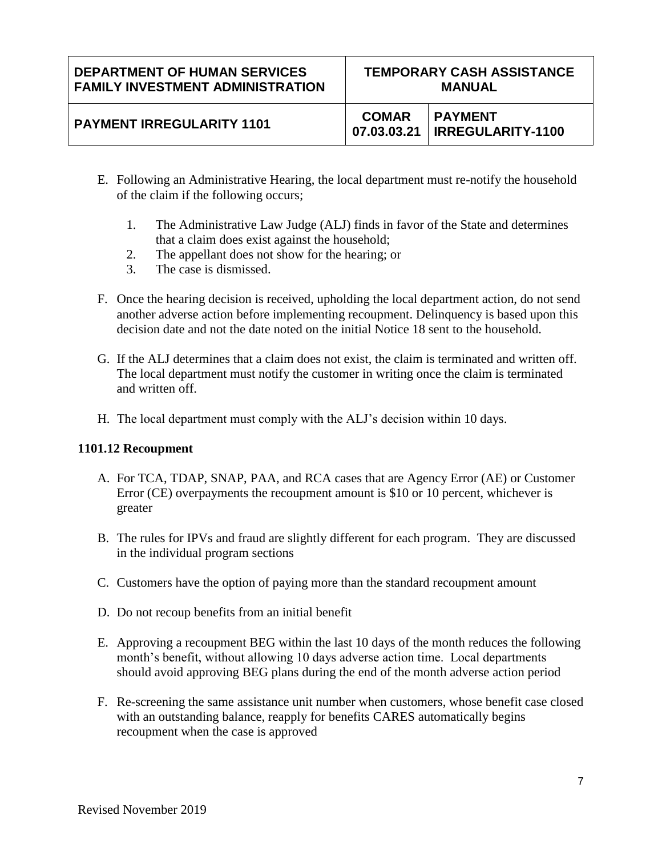### **DEPARTMENT OF HUMAN SERVICES FAMILY INVESTMENT ADMINISTRATION**

# **PAYMENT IRREGULARITY 1101** COMAR

**07.03.03.21 PAYMENT IRREGULARITY-1100**

- E. Following an Administrative Hearing, the local department must re-notify the household of the claim if the following occurs;
	- 1. The Administrative Law Judge (ALJ) finds in favor of the State and determines that a claim does exist against the household;
	- 2. The appellant does not show for the hearing; or
	- 3. The case is dismissed.
- F. Once the hearing decision is received, upholding the local department action, do not send another adverse action before implementing recoupment. Delinquency is based upon this decision date and not the date noted on the initial Notice 18 sent to the household.
- G. If the ALJ determines that a claim does not exist, the claim is terminated and written off. The local department must notify the customer in writing once the claim is terminated and written off.
- H. The local department must comply with the ALJ's decision within 10 days.

# **1101.12 Recoupment**

- A. For TCA, TDAP, SNAP, PAA, and RCA cases that are Agency Error (AE) or Customer Error (CE) overpayments the recoupment amount is \$10 or 10 percent, whichever is greater
- B. The rules for IPVs and fraud are slightly different for each program. They are discussed in the individual program sections
- C. Customers have the option of paying more than the standard recoupment amount
- D. Do not recoup benefits from an initial benefit
- E. Approving a recoupment BEG within the last 10 days of the month reduces the following month's benefit, without allowing 10 days adverse action time. Local departments should avoid approving BEG plans during the end of the month adverse action period
- F. Re-screening the same assistance unit number when customers, whose benefit case closed with an outstanding balance, reapply for benefits CARES automatically begins recoupment when the case is approved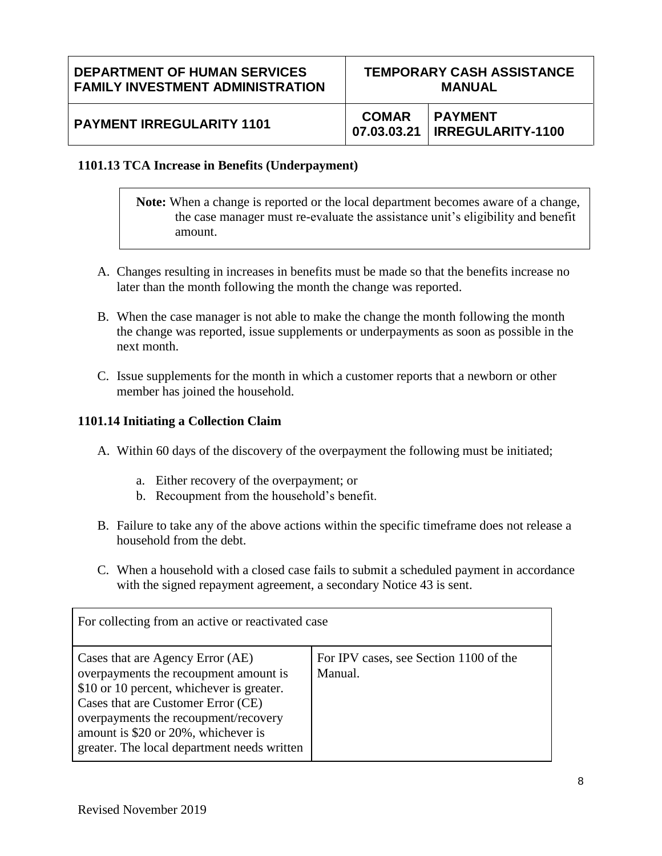### **DEPARTMENT OF HUMAN SERVICES FAMILY INVESTMENT ADMINISTRATION**

| <b>PAYMENT IRREGULARITY 1101</b> |  | <b>COMAR PAYMENT</b><br>  07.03.03.21   IRREGULARITY-1100 |
|----------------------------------|--|-----------------------------------------------------------|
|----------------------------------|--|-----------------------------------------------------------|

### **1101.13 TCA Increase in Benefits (Underpayment)**

**Note:** When a change is reported or the local department becomes aware of a change, the case manager must re-evaluate the assistance unit's eligibility and benefit amount.

- A. Changes resulting in increases in benefits must be made so that the benefits increase no later than the month following the month the change was reported.
- B. When the case manager is not able to make the change the month following the month the change was reported, issue supplements or underpayments as soon as possible in the next month.
- C. Issue supplements for the month in which a customer reports that a newborn or other member has joined the household.

#### **1101.14 Initiating a Collection Claim**

- A. Within 60 days of the discovery of the overpayment the following must be initiated;
	- a. Either recovery of the overpayment; or
	- b. Recoupment from the household's benefit.
- B. Failure to take any of the above actions within the specific timeframe does not release a household from the debt.
- C. When a household with a closed case fails to submit a scheduled payment in accordance with the signed repayment agreement, a secondary Notice 43 is sent.

| For collecting from an active or reactivated case                                                                                                                                                                                                                                          |                                                   |  |  |
|--------------------------------------------------------------------------------------------------------------------------------------------------------------------------------------------------------------------------------------------------------------------------------------------|---------------------------------------------------|--|--|
| Cases that are Agency Error (AE)<br>overpayments the recoupment amount is<br>\$10 or 10 percent, whichever is greater.<br>Cases that are Customer Error (CE)<br>overpayments the recoupment/recovery<br>amount is \$20 or 20%, whichever is<br>greater. The local department needs written | For IPV cases, see Section 1100 of the<br>Manual. |  |  |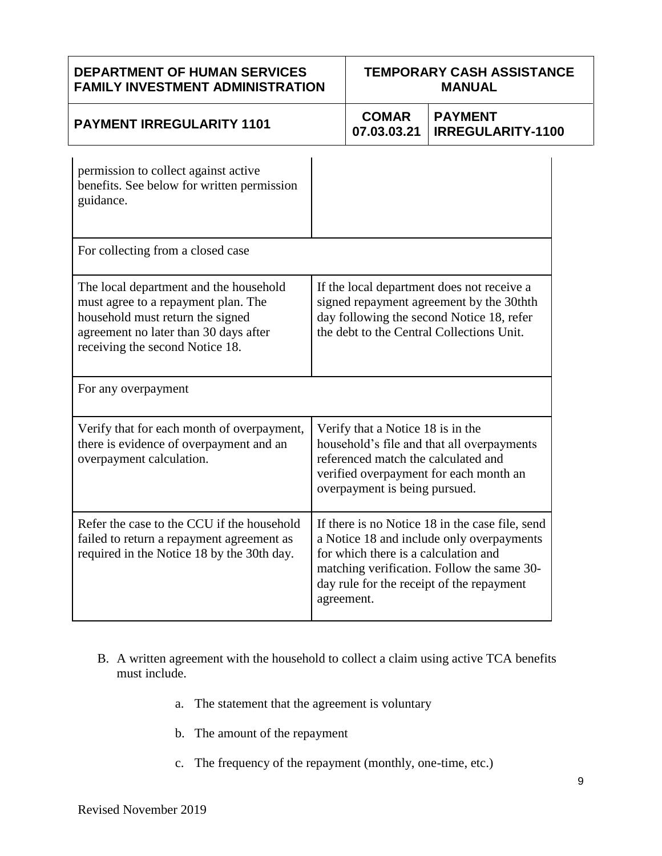| <b>DEPARTMENT OF HUMAN SERVICES</b><br><b>FAMILY INVESTMENT ADMINISTRATION</b>                                                                                                                |                                                                                                                                                                                                                                               | <b>TEMPORARY CASH ASSISTANCE</b><br><b>MANUAL</b> |                                            |  |
|-----------------------------------------------------------------------------------------------------------------------------------------------------------------------------------------------|-----------------------------------------------------------------------------------------------------------------------------------------------------------------------------------------------------------------------------------------------|---------------------------------------------------|--------------------------------------------|--|
| <b>PAYMENT IRREGULARITY 1101</b>                                                                                                                                                              |                                                                                                                                                                                                                                               | <b>COMAR</b><br>07.03.03.21                       | <b>PAYMENT</b><br><b>IRREGULARITY-1100</b> |  |
| permission to collect against active<br>benefits. See below for written permission<br>guidance.                                                                                               |                                                                                                                                                                                                                                               |                                                   |                                            |  |
| For collecting from a closed case                                                                                                                                                             |                                                                                                                                                                                                                                               |                                                   |                                            |  |
| The local department and the household<br>must agree to a repayment plan. The<br>household must return the signed<br>agreement no later than 30 days after<br>receiving the second Notice 18. | If the local department does not receive a<br>signed repayment agreement by the 30thth<br>day following the second Notice 18, refer<br>the debt to the Central Collections Unit.                                                              |                                                   |                                            |  |
| For any overpayment                                                                                                                                                                           |                                                                                                                                                                                                                                               |                                                   |                                            |  |
| Verify that for each month of overpayment,<br>there is evidence of overpayment and an<br>overpayment calculation.                                                                             | Verify that a Notice 18 is in the<br>household's file and that all overpayments<br>referenced match the calculated and<br>verified overpayment for each month an<br>overpayment is being pursued.                                             |                                                   |                                            |  |
| Refer the case to the CCU if the household<br>failed to return a repayment agreement as<br>required in the Notice 18 by the 30th day.                                                         | If there is no Notice 18 in the case file, send<br>a Notice 18 and include only overpayments<br>for which there is a calculation and<br>matching verification. Follow the same 30-<br>day rule for the receipt of the repayment<br>agreement. |                                                   |                                            |  |

- B. A written agreement with the household to collect a claim using active TCA benefits must include.
	- a. The statement that the agreement is voluntary
	- b. The amount of the repayment
	- c. The frequency of the repayment (monthly, one-time, etc.)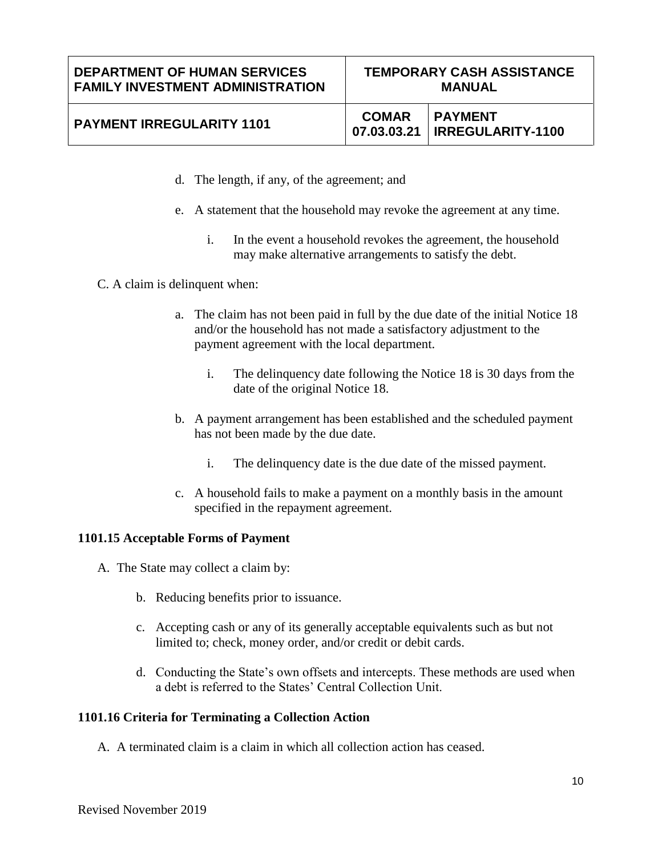# **PAYMENT IRREGULARITY 1101** COMAR

**07.03.03.21 PAYMENT IRREGULARITY-1100**

- d. The length, if any, of the agreement; and
- e. A statement that the household may revoke the agreement at any time.
	- i. In the event a household revokes the agreement, the household may make alternative arrangements to satisfy the debt.
- C. A claim is delinquent when:
	- a. The claim has not been paid in full by the due date of the initial Notice 18 and/or the household has not made a satisfactory adjustment to the payment agreement with the local department.
		- i. The delinquency date following the Notice 18 is 30 days from the date of the original Notice 18.
	- b. A payment arrangement has been established and the scheduled payment has not been made by the due date.
		- i. The delinquency date is the due date of the missed payment.
	- c. A household fails to make a payment on a monthly basis in the amount specified in the repayment agreement.

# **1101.15 Acceptable Forms of Payment**

- A. The State may collect a claim by:
	- b. Reducing benefits prior to issuance.
	- c. Accepting cash or any of its generally acceptable equivalents such as but not limited to; check, money order, and/or credit or debit cards.
	- d. Conducting the State's own offsets and intercepts. These methods are used when a debt is referred to the States' Central Collection Unit.

#### **1101.16 Criteria for Terminating a Collection Action**

A. A terminated claim is a claim in which all collection action has ceased.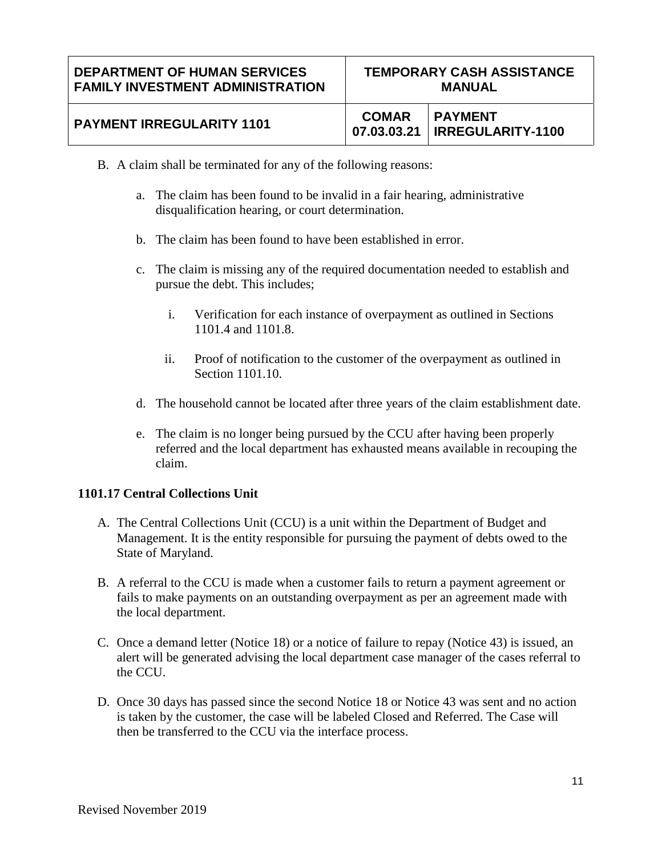| <b>PAYMENT IRREGULARITY 1101</b> |  | <b>COMAR PAYMENT</b><br>$\mid$ 07.03.03.21   IRREGULARITY-1100 |
|----------------------------------|--|----------------------------------------------------------------|
|----------------------------------|--|----------------------------------------------------------------|

- B. A claim shall be terminated for any of the following reasons:
	- a. The claim has been found to be invalid in a fair hearing, administrative disqualification hearing, or court determination.
	- b. The claim has been found to have been established in error.
	- c. The claim is missing any of the required documentation needed to establish and pursue the debt. This includes;
		- i. Verification for each instance of overpayment as outlined in Sections 1101.4 and 1101.8.
		- ii. Proof of notification to the customer of the overpayment as outlined in Section 1101.10.
	- d. The household cannot be located after three years of the claim establishment date.
	- e. The claim is no longer being pursued by the CCU after having been properly referred and the local department has exhausted means available in recouping the claim.

# **1101.17 Central Collections Unit**

- A. The Central Collections Unit (CCU) is a unit within the Department of Budget and Management. It is the entity responsible for pursuing the payment of debts owed to the State of Maryland.
- B. A referral to the CCU is made when a customer fails to return a payment agreement or fails to make payments on an outstanding overpayment as per an agreement made with the local department.
- C. Once a demand letter (Notice 18) or a notice of failure to repay (Notice 43) is issued, an alert will be generated advising the local department case manager of the cases referral to the CCU.
- D. Once 30 days has passed since the second Notice 18 or Notice 43 was sent and no action is taken by the customer, the case will be labeled Closed and Referred. The Case will then be transferred to the CCU via the interface process.